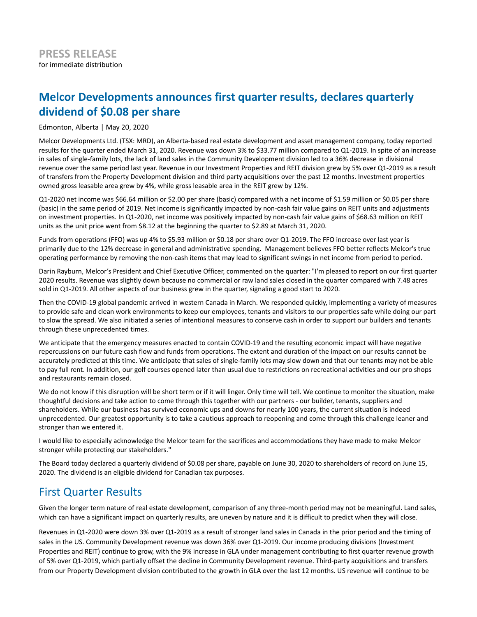# **Melcor Developments announces first quarter results, declares quarterly dividend of \$0.08 per share**

Edmonton, Alberta | May 20, 2020

Melcor Developments Ltd. (TSX: MRD), an Alberta-based real estate development and asset management company, today reported results for the quarter ended March 31, 2020. Revenue was down 3% to \$33.77 million compared to Q1-2019. In spite of an increase in sales of single-family lots, the lack of land sales in the Community Development division led to a 36% decrease in divisional revenue over the same period last year. Revenue in our Investment Properties and REIT division grew by 5% over Q1-2019 as a result of transfers from the Property Development division and third party acquisitions over the past 12 months. Investment properties owned gross leasable area grew by 4%, while gross leasable area in the REIT grew by 12%.

Q1-2020 net income was \$66.64 million or \$2.00 per share (basic) compared with a net income of \$1.59 million or \$0.05 per share (basic) in the same period of 2019. Net income is significantly impacted by non-cash fair value gains on REIT units and adjustments on investment properties. In Q1-2020, net income was positively impacted by non-cash fair value gains of \$68.63 million on REIT units as the unit price went from \$8.12 at the beginning the quarter to \$2.89 at March 31, 2020.

Funds from operations (FFO) was up 4% to \$5.93 million or \$0.18 per share over Q1-2019. The FFO increase over last year is primarily due to the 12% decrease in general and administrative spending. Management believes FFO better reflects Melcor's true operating performance by removing the non-cash items that may lead to significant swings in net income from period to period.

Darin Rayburn, Melcor's President and Chief Executive Officer, commented on the quarter: "I'm pleased to report on our first quarter 2020 results. Revenue was slightly down because no commercial or raw land sales closed in the quarter compared with 7.48 acres sold in Q1-2019. All other aspects of our business grew in the quarter, signaling a good start to 2020.

Then the COVID-19 global pandemic arrived in western Canada in March. We responded quickly, implementing a variety of measures to provide safe and clean work environments to keep our employees, tenants and visitors to our properties safe while doing our part to slow the spread. We also initiated a series of intentional measures to conserve cash in order to support our builders and tenants through these unprecedented times.

We anticipate that the emergency measures enacted to contain COVID-19 and the resulting economic impact will have negative repercussions on our future cash flow and funds from operations. The extent and duration of the impact on our results cannot be accurately predicted at this time. We anticipate that sales of single-family lots may slow down and that our tenants may not be able to pay full rent. In addition, our golf courses opened later than usual due to restrictions on recreational activities and our pro shops and restaurants remain closed.

We do not know if this disruption will be short term or if it will linger. Only time will tell. We continue to monitor the situation, make thoughtful decisions and take action to come through this together with our partners - our builder, tenants, suppliers and shareholders. While our business has survived economic ups and downs for nearly 100 years, the current situation is indeed unprecedented. Our greatest opportunity is to take a cautious approach to reopening and come through this challenge leaner and stronger than we entered it.

I would like to especially acknowledge the Melcor team for the sacrifices and accommodations they have made to make Melcor stronger while protecting our stakeholders."

The Board today declared a quarterly dividend of \$0.08 per share, payable on June 30, 2020 to shareholders of record on June 15, 2020. The dividend is an eligible dividend for Canadian tax purposes.

## First Quarter Results

Given the longer term nature of real estate development, comparison of any three-month period may not be meaningful. Land sales, which can have a significant impact on quarterly results, are uneven by nature and it is difficult to predict when they will close.

Revenues in Q1-2020 were down 3% over Q1-2019 as a result of stronger land sales in Canada in the prior period and the timing of sales in the US. Community Development revenue was down 36% over Q1-2019. Our income producing divisions (Investment Properties and REIT) continue to grow, with the 9% increase in GLA under management contributing to first quarter revenue growth of 5% over Q1-2019, which partially offset the decline in Community Development revenue. Third-party acquisitions and transfers from our Property Development division contributed to the growth in GLA over the last 12 months. US revenue will continue to be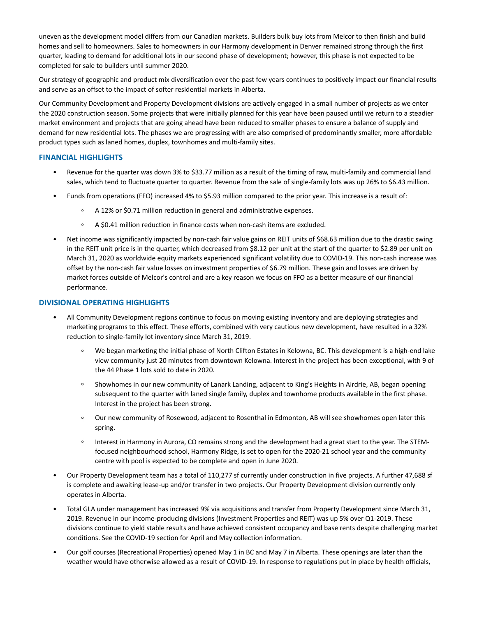uneven as the development model differs from our Canadian markets. Builders bulk buy lots from Melcor to then finish and build homes and sell to homeowners. Sales to homeowners in our Harmony development in Denver remained strong through the first quarter, leading to demand for additional lots in our second phase of development; however, this phase is not expected to be completed for sale to builders until summer 2020.

Our strategy of geographic and product mix diversification over the past few years continues to positively impact our financial results and serve as an offset to the impact of softer residential markets in Alberta.

Our Community Development and Property Development divisions are actively engaged in a small number of projects as we enter the 2020 construction season. Some projects that were initially planned for this year have been paused until we return to a steadier market environment and projects that are going ahead have been reduced to smaller phases to ensure a balance of supply and demand for new residential lots. The phases we are progressing with are also comprised of predominantly smaller, more affordable product types such as laned homes, duplex, townhomes and multi-family sites.

## **FINANCIAL HIGHLIGHTS**

- Revenue for the quarter was down 3% to \$33.77 million as a result of the timing of raw, multi-family and commercial land sales, which tend to fluctuate quarter to quarter. Revenue from the sale of single-family lots was up 26% to \$6.43 million.
- Funds from operations (FFO) increased 4% to \$5.93 million compared to the prior year. This increase is a result of:
	- $\circ$ A 12% or \$0.71 million reduction in general and administrative expenses.
	- $\circ$ A \$0.41 million reduction in finance costs when non-cash items are excluded.
- Net income was significantly impacted by non-cash fair value gains on REIT units of \$68.63 million due to the drastic swing in the REIT unit price is in the quarter, which decreased from \$8.12 per unit at the start of the quarter to \$2.89 per unit on March 31, 2020 as worldwide equity markets experienced significant volatility due to COVID-19. This non-cash increase was offset by the non-cash fair value losses on investment properties of \$6.79 million. These gain and losses are driven by market forces outside of Melcor's control and are a key reason we focus on FFO as a better measure of our financial performance.

## **DIVISIONAL OPERATING HIGHLIGHTS**

- All Community Development regions continue to focus on moving existing inventory and are deploying strategies and marketing programs to this effect. These efforts, combined with very cautious new development, have resulted in a 32% reduction to single-family lot inventory since March 31, 2019.
	- $\circ$ We began marketing the initial phase of North Clifton Estates in Kelowna, BC. This development is a high-end lake view community just 20 minutes from downtown Kelowna. Interest in the project has been exceptional, with 9 of the 44 Phase 1 lots sold to date in 2020.
	- $\circ$ Showhomes in our new community of Lanark Landing, adjacent to King's Heights in Airdrie, AB, began opening subsequent to the quarter with laned single family, duplex and townhome products available in the first phase. Interest in the project has been strong.
	- Our new community of Rosewood, adjacent to Rosenthal in Edmonton, AB will see showhomes open later this  $\circ$ spring.
	- Interest in Harmony in Aurora, CO remains strong and the development had a great start to the year. The STEM- $\circ$ focused neighbourhood school, Harmony Ridge, is set to open for the 2020-21 school year and the community centre with pool is expected to be complete and open in June 2020.
- Our Property Development team has a total of 110,277 sf currently under construction in five projects. A further 47,688 sf is complete and awaiting lease-up and/or transfer in two projects. Our Property Development division currently only operates in Alberta.
- Total GLA under management has increased 9% via acquisitions and transfer from Property Development since March 31, 2019. Revenue in our income-producing divisions (Investment Properties and REIT) was up 5% over Q1-2019. These divisions continue to yield stable results and have achieved consistent occupancy and base rents despite challenging market conditions. See the COVID-19 section for April and May collection information.
- Our golf courses (Recreational Properties) opened May 1 in BC and May 7 in Alberta. These openings are later than the weather would have otherwise allowed as a result of COVID-19. In response to regulations put in place by health officials,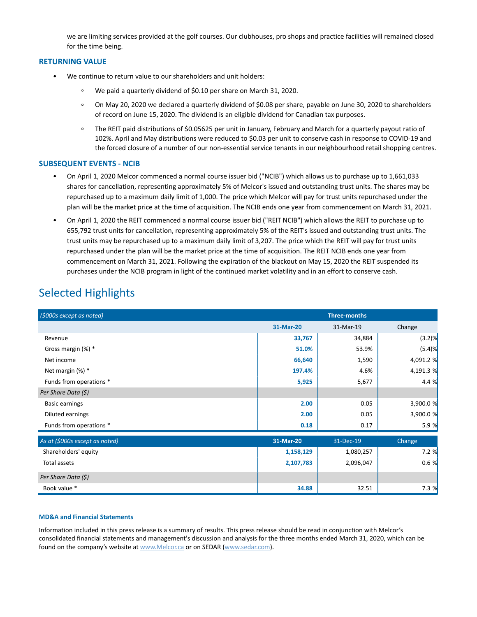we are limiting services provided at the golf courses. Our clubhouses, pro shops and practice facilities will remained closed for the time being.

### **RETURNING VALUE**

- We continue to return value to our shareholders and unit holders:
	- $\circ$ We paid a quarterly dividend of \$0.10 per share on March 31, 2020.
	- $\circ$ On May 20, 2020 we declared a quarterly dividend of \$0.08 per share, payable on June 30, 2020 to shareholders of record on June 15, 2020. The dividend is an eligible dividend for Canadian tax purposes.
	- The REIT paid distributions of \$0.05625 per unit in January, February and March for a quarterly payout ratio of  $\circ$ 102%. April and May distributions were reduced to \$0.03 per unit to conserve cash in response to COVID-19 and the forced closure of a number of our non-essential service tenants in our neighbourhood retail shopping centres.

### **SUBSEQUENT EVENTS - NCIB**

- On April 1, 2020 Melcor commenced a normal course issuer bid ("NCIB") which allows us to purchase up to 1,661,033 shares for cancellation, representing approximately 5% of Melcor's issued and outstanding trust units. The shares may be repurchased up to a maximum daily limit of 1,000. The price which Melcor will pay for trust units repurchased under the plan will be the market price at the time of acquisition. The NCIB ends one year from commencement on March 31, 2021.
- On April 1, 2020 the REIT commenced a normal course issuer bid ("REIT NCIB") which allows the REIT to purchase up to 655,792 trust units for cancellation, representing approximately 5% of the REIT's issued and outstanding trust units. The trust units may be repurchased up to a maximum daily limit of 3,207. The price which the REIT will pay for trust units repurchased under the plan will be the market price at the time of acquisition. The REIT NCIB ends one year from commencement on March 31, 2021. Following the expiration of the blackout on May 15, 2020 the REIT suspended its purchases under the NCIB program in light of the continued market volatility and in an effort to conserve cash.

# Selected Highlights

| (\$000s except as noted)       | <b>Three-months</b> |           |           |
|--------------------------------|---------------------|-----------|-----------|
|                                | 31-Mar-20           | 31-Mar-19 | Change    |
| Revenue                        | 33,767              | 34,884    | $(3.2)$ % |
| Gross margin (%) *             | 51.0%               | 53.9%     | (5.4)%    |
| Net income                     | 66,640              | 1,590     | 4,091.2 % |
| Net margin (%) *               | 197.4%              | 4.6%      | 4,191.3 % |
| Funds from operations *        | 5,925               | 5,677     | 4.4 %     |
| Per Share Data (\$)            |                     |           |           |
| <b>Basic earnings</b>          | 2.00                | 0.05      | 3,900.0 % |
| Diluted earnings               | 2.00                | 0.05      | 3,900.0 % |
| Funds from operations *        | 0.18                | 0.17      | 5.9%      |
| As at (\$000s except as noted) | 31-Mar-20           | 31-Dec-19 | Change    |
| Shareholders' equity           | 1,158,129           | 1,080,257 | 7.2%      |
| Total assets                   | 2,107,783           | 2,096,047 | 0.6%      |
| Per Share Data (\$)            |                     |           |           |
| Book value *                   | 34.88               | 32.51     | 7.3%      |

### **MD&A and Financial Statements**

Information included in this press release is a summary of results. This press release should be read in conjunction with Melcor's consolidated financial statements and management's discussion and analysis for the three months ended March 31, 2020, which can be found on the company's website at www.Melcor.ca or on SEDAR (www.sedar.com).